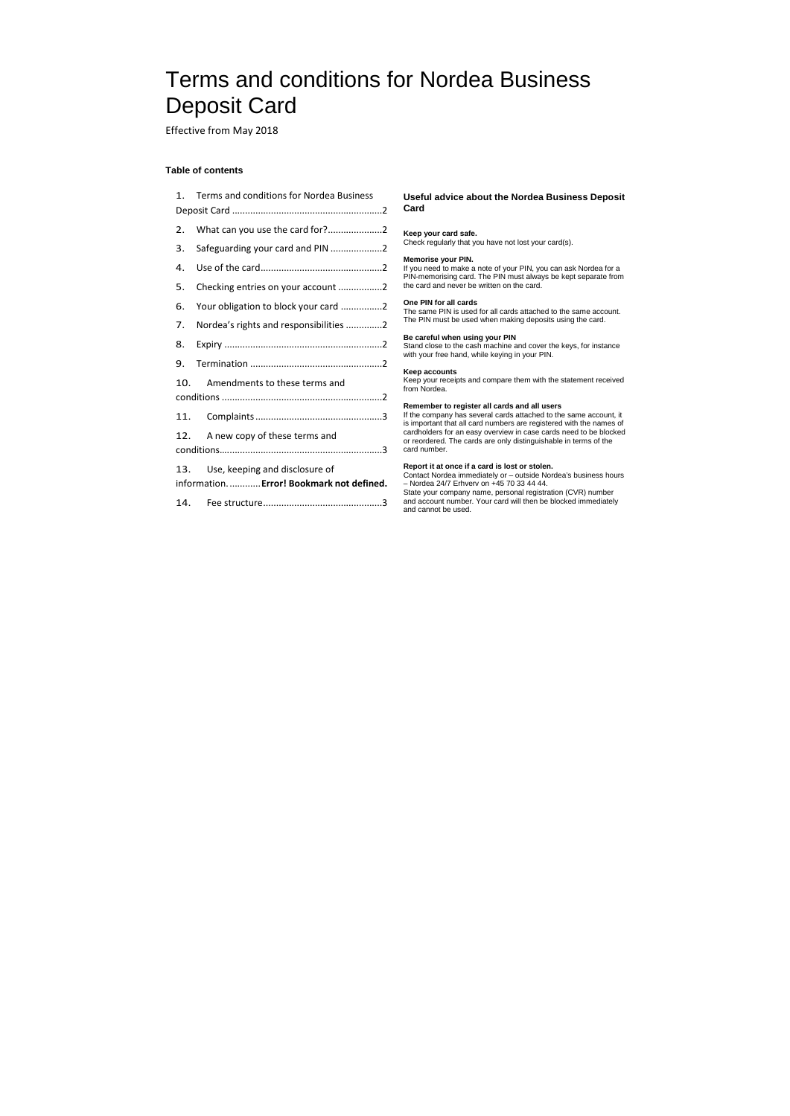# Terms and conditions for Nordea Business Deposit Card

Effective from May 2018

# **Table of contents**

| 1.                                       | Terms and conditions for Nordea Business |  |
|------------------------------------------|------------------------------------------|--|
|                                          |                                          |  |
| 2.                                       | What can you use the card for?2          |  |
| 3.                                       | Safeguarding your card and PIN 2         |  |
| 4.                                       |                                          |  |
| 5.                                       | Checking entries on your account 2       |  |
| 6.                                       | Your obligation to block your card 2     |  |
| 7.                                       | Nordea's rights and responsibilities 2   |  |
| 8.                                       |                                          |  |
| 9.                                       |                                          |  |
| 10.                                      | Amendments to these terms and            |  |
|                                          |                                          |  |
| 11.                                      |                                          |  |
| 12.                                      | A new copy of these terms and            |  |
|                                          |                                          |  |
| 13.                                      | Use, keeping and disclosure of           |  |
| information Error! Bookmark not defined. |                                          |  |
|                                          |                                          |  |
|                                          |                                          |  |

Keep your receipts and compare them with the statement received from Nordea.

# **Useful advice about the Nordea Business Deposit Card**

## **Keep your card safe.**

Check regularly that you have not lost your card(s).

## **Memorise your PIN.**

If you need to make a note of your PIN, you can ask Nordea for a PIN-memorising card. The PIN must always be kept separate from the card and never be written on the card.

#### **One PIN for all cards**

The same PIN is used for all cards attached to the same account. The PIN must be used when making deposits using the card.

## **Be careful when using your PIN**

Stand close to the cash machine and cover the keys, for instance with your free hand, while keying in your PIN.

#### **Keep accounts**

## **Remember to register all cards and all users**

If the company has several cards attached to the same account, it is important that all card numbers are registered with the names of cardholders for an easy overview in case cards need to be blocked or reordered. The cards are only distinguishable in terms of the card number.

## **Report it at once if a card is lost or stolen.**

Contact Nordea immediately or – outside Nordea's business hours – Nordea 24/7 Erhverv on +45 70 33 44 44.

State your company name, personal registration (CVR) number and account number. Your card will then be blocked immediately and cannot be used.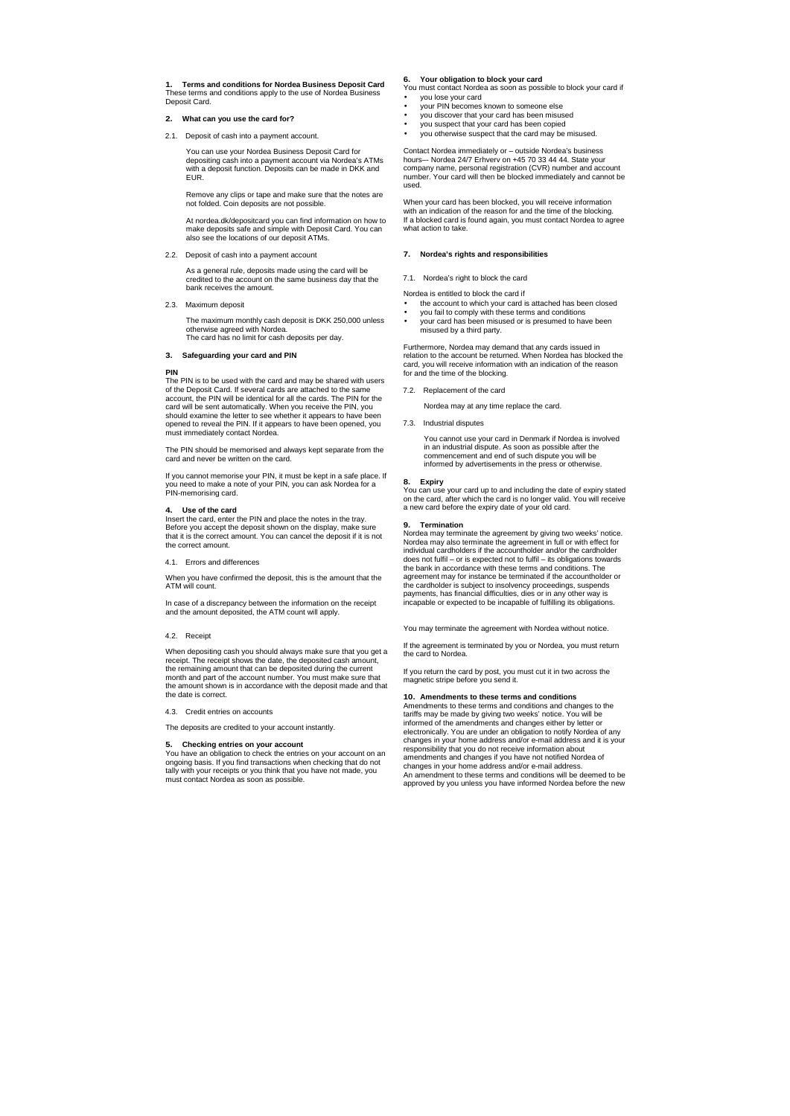**1. Terms and conditions for Nordea Business Deposit Card**  These terms and conditions apply to the use of Nordea Business Deposit Card.

## **2. What can you use the card for?**

2.1. Deposit of cash into a payment account.

You can use your Nordea Business Deposit Card for depositing cash into a payment account via Nordea's ATMs with a deposit function. Deposits can be made in DKK and EUR.

Remove any clips or tape and make sure that the notes are not folded. Coin deposits are not possible.

At nordea.dk/depositcard you can find information on how to make deposits safe and simple with Deposit Card. You can also see the locations of our deposit ATMs.

2.2. Deposit of cash into a payment account

As a general rule, deposits made using the card will be credited to the account on the same business day that the bank receives the amount.

2.3. Maximum deposit

The maximum monthly cash deposit is DKK 250,000 unless otherwise agreed with Nordea.

The card has no limit for cash deposits per day.

#### **3. Safeguarding your card and PIN**

**PIN** 

The PIN is to be used with the card and may be shared with users of the Deposit Card. If several cards are attached to the same account, the PIN will be identical for all the cards. The PIN for the card will be sent automatically. When you receive the PIN, you should examine the letter to see whether it appears to have been opened to reveal the PIN. If it appears to have been opened, you must immediately contact Nordea.

- your PIN becomes known to someone else
- you discover that your card has been misused
- you suspect that your card has been copied
- you otherwise suspect that the card may be misused.

The PIN should be memorised and always kept separate from the card and never be written on the card.

Contact Nordea immediately or – outside Nordea's business hours–- Nordea 24/7 Erhverv on +45 70 33 44 44. State your company name, personal registration (CVR) number and account number. Your card will then be blocked immediately and cannot be used

If you cannot memorise your PIN, it must be kept in a safe place. If you need to make a note of your PIN, you can ask Nordea for a PIN-memorising card.

#### **4. Use of the card**

Insert the card, enter the PIN and place the notes in the tray. Before you accept the deposit shown on the display, make sure that it is the correct amount. You can cancel the deposit if it is not the correct amount.

4.1. Errors and differences

- the account to which your card is attached has been closed
- you fail to comply with these terms and conditions
- your card has been misused or is presumed to have been misused by a third party.

When you have confirmed the deposit, this is the amount that the ATM will count.

In case of a discrepancy between the information on the receipt and the amount deposited, the ATM count will apply.

#### 4.2. Receipt

When depositing cash you should always make sure that you get a receipt. The receipt shows the date, the deposited cash amount, the remaining amount that can be deposited during the current month and part of the account number. You must make sure that the amount shown is in accordance with the deposit made and that the date is correct.

#### 4.3. Credit entries on accounts

The deposits are credited to your account instantly.

#### **5. Checking entries on your account**

You have an obligation to check the entries on your account on an ongoing basis. If you find transactions when checking that do not tally with your receipts or you think that you have not made, you must contact Nordea as soon as possible.

## **6. Your obligation to block your card**

You must contact Nordea as soon as possible to block your card if • you lose your card

When your card has been blocked, you will receive information with an indication of the reason for and the time of the blocking. If a blocked card is found again, you must contact Nordea to agree what action to take.

#### **7. Nordea's rights and responsibilities**

#### 7.1. Nordea's right to block the card

Nordea is entitled to block the card if

Furthermore, Nordea may demand that any cards issued in relation to the account be returned. When Nordea has blocked the card, you will receive information with an indication of the reason for and the time of the blocking.

7.2. Replacement of the card

Nordea may at any time replace the card.

7.3. Industrial disputes

You cannot use your card in Denmark if Nordea is involved in an industrial dispute. As soon as possible after the commencement and end of such dispute you will be informed by advertisements in the press or otherwise.

#### **8. Expiry**

You can use your card up to and including the date of expiry stated on the card, after which the card is no longer valid. You will receive a new card before the expiry date of your old card.

#### **9. Termination**

Nordea may terminate the agreement by giving two weeks' notice. Nordea may also terminate the agreement in full or with effect for individual cardholders if the accountholder and/or the cardholder does not fulfil – or is expected not to fulfil – its obligations towards the bank in accordance with these terms and conditions. The agreement may for instance be terminated if the accountholder or the cardholder is subject to insolvency proceedings, suspends payments, has financial difficulties, dies or in any other way is incapable or expected to be incapable of fulfilling its obligations.

You may terminate the agreement with Nordea without notice.

If the agreement is terminated by you or Nordea, you must return the card to Nordea.

If you return the card by post, you must cut it in two across the magnetic stripe before you send it.

#### **10. Amendments to these terms and conditions**

Amendments to these terms and conditions and changes to the tariffs may be made by giving two weeks' notice. You will be informed of the amendments and changes either by letter or electronically. You are under an obligation to notify Nordea of any changes in your home address and/or e-mail address and it is your responsibility that you do not receive information about amendments and changes if you have not notified Nordea of changes in your home address and/or e-mail address. An amendment to these terms and conditions will be deemed to be approved by you unless you have informed Nordea before the new